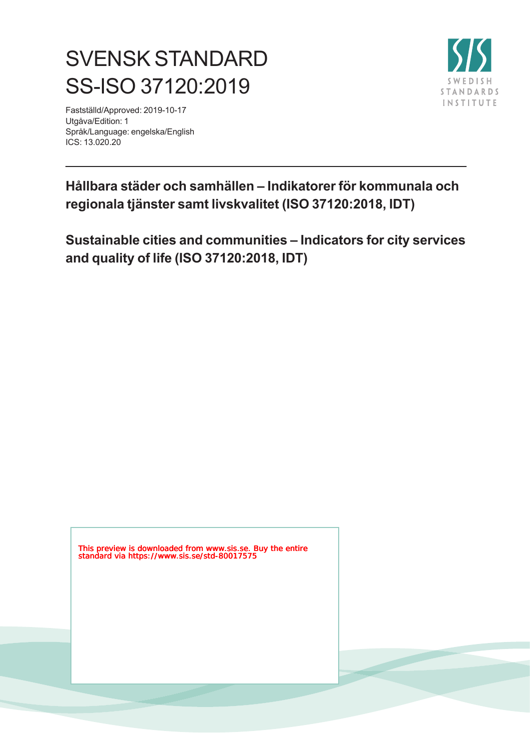# SVENSK STANDARD SS-ISO 37120:2019

**STANDARDS INSTITUTE** 



**Hållbara städer och samhällen – Indikatorer för kommunala och regionala tjänster samt livskvalitet (ISO 37120:2018, IDT)**

**Sustainable cities and communities – Indicators for city services and quality of life (ISO 37120:2018, IDT)**

This preview is downloaded from www.sis.se. Buy the entire standard via https://www.sis.se/std-80017575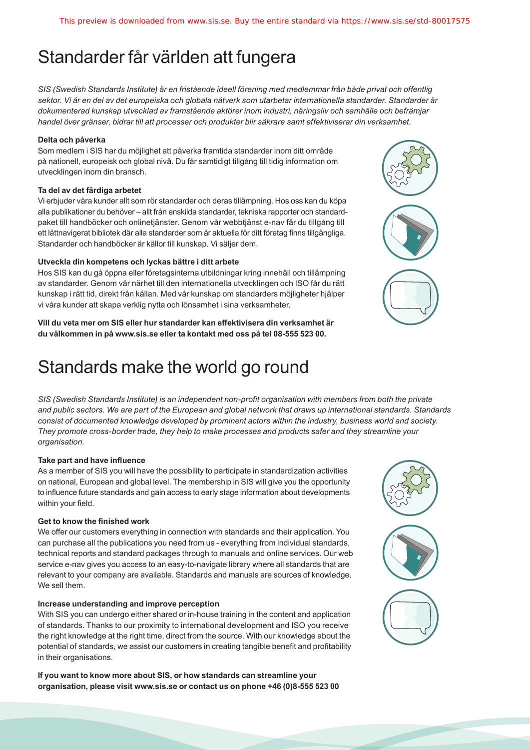# Standarder får världen att fungera

*SIS (Swedish Standards Institute) är en fristående ideell förening med medlemmar från både privat och offentlig sektor. Vi är en del av det europeiska och globala nätverk som utarbetar internationella standarder. Standarder är dokumenterad kunskap utvecklad av framstående aktörer inom industri, näringsliv och samhälle och befrämjar handel över gränser, bidrar till att processer och produkter blir säkrare samt effektiviserar din verksamhet.* 

#### **Delta och påverka**

Som medlem i SIS har du möjlighet att påverka framtida standarder inom ditt område på nationell, europeisk och global nivå. Du får samtidigt tillgång till tidig information om utvecklingen inom din bransch.

#### **Ta del av det färdiga arbetet**

Vi erbjuder våra kunder allt som rör standarder och deras tillämpning. Hos oss kan du köpa alla publikationer du behöver – allt från enskilda standarder, tekniska rapporter och standardpaket till handböcker och onlinetjänster. Genom vår webbtjänst e-nav får du tillgång till ett lättnavigerat bibliotek där alla standarder som är aktuella för ditt företag finns tillgängliga. Standarder och handböcker är källor till kunskap. Vi säljer dem.

#### **Utveckla din kompetens och lyckas bättre i ditt arbete**

Hos SIS kan du gå öppna eller företagsinterna utbildningar kring innehåll och tillämpning av standarder. Genom vår närhet till den internationella utvecklingen och ISO får du rätt kunskap i rätt tid, direkt från källan. Med vår kunskap om standarders möjligheter hjälper vi våra kunder att skapa verklig nytta och lönsamhet i sina verksamheter.

**Vill du veta mer om SIS eller hur standarder kan effektivisera din verksamhet är du välkommen in på www.sis.se eller ta kontakt med oss på tel 08-555 523 00.**

# Standards make the world go round

*SIS (Swedish Standards Institute) is an independent non-profit organisation with members from both the private and public sectors. We are part of the European and global network that draws up international standards. Standards consist of documented knowledge developed by prominent actors within the industry, business world and society. They promote cross-border trade, they help to make processes and products safer and they streamline your organisation.*

#### **Take part and have influence**

As a member of SIS you will have the possibility to participate in standardization activities on national, European and global level. The membership in SIS will give you the opportunity to influence future standards and gain access to early stage information about developments within your field.

#### **Get to know the finished work**

We offer our customers everything in connection with standards and their application. You can purchase all the publications you need from us - everything from individual standards, technical reports and standard packages through to manuals and online services. Our web service e-nav gives you access to an easy-to-navigate library where all standards that are relevant to your company are available. Standards and manuals are sources of knowledge. We sell them.

#### **Increase understanding and improve perception**

With SIS you can undergo either shared or in-house training in the content and application of standards. Thanks to our proximity to international development and ISO you receive the right knowledge at the right time, direct from the source. With our knowledge about the potential of standards, we assist our customers in creating tangible benefit and profitability in their organisations.

**If you want to know more about SIS, or how standards can streamline your organisation, please visit www.sis.se or contact us on phone +46 (0)8-555 523 00**



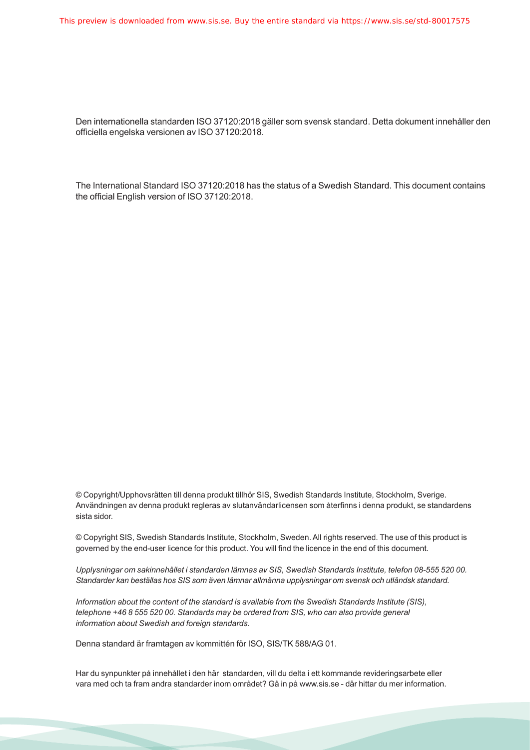Den internationella standarden ISO 37120:2018 gäller som svensk standard. Detta dokument innehåller den officiella engelska versionen av ISO 37120:2018.

The International Standard ISO 37120:2018 has the status of a Swedish Standard. This document contains the official English version of ISO 37120:2018.

© Copyright/Upphovsrätten till denna produkt tillhör SIS, Swedish Standards Institute, Stockholm, Sverige. Användningen av denna produkt regleras av slutanvändarlicensen som återfinns i denna produkt, se standardens sista sidor.

© Copyright SIS, Swedish Standards Institute, Stockholm, Sweden. All rights reserved. The use of this product is governed by the end-user licence for this product. You will find the licence in the end of this document.

*Upplysningar om sakinnehållet i standarden lämnas av SIS, Swedish Standards Institute, telefon 08-555 520 00. Standarder kan beställas hos SIS som även lämnar allmänna upplysningar om svensk och utländsk standard.*

*Information about the content of the standard is available from the Swedish Standards Institute (SIS), telephone +46 8 555 520 00. Standards may be ordered from SIS, who can also provide general information about Swedish and foreign standards.*

Denna standard är framtagen av kommittén för ISO, SIS/TK 588/AG 01.

Har du synpunkter på innehållet i den här standarden, vill du delta i ett kommande revideringsarbete eller vara med och ta fram andra standarder inom området? Gå in på www.sis.se - där hittar du mer information.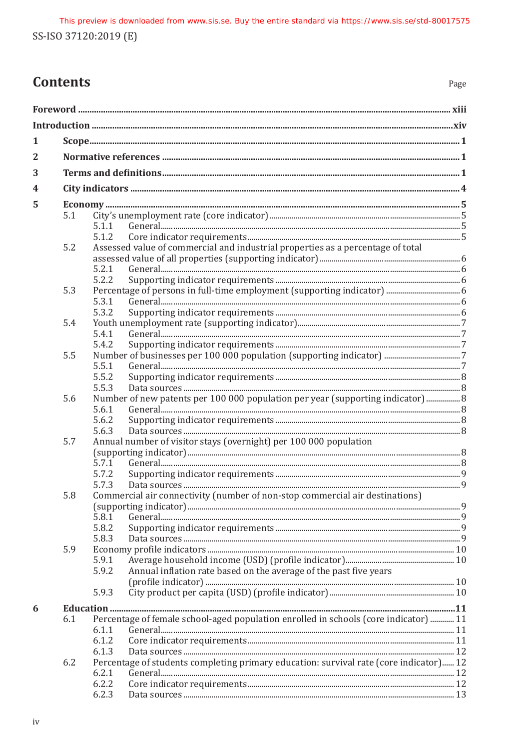# **Contents**

| 1                       |     |       |                                                                                        |  |
|-------------------------|-----|-------|----------------------------------------------------------------------------------------|--|
| 2                       |     |       |                                                                                        |  |
| 3                       |     |       |                                                                                        |  |
|                         |     |       |                                                                                        |  |
| $\overline{\mathbf{4}}$ |     |       |                                                                                        |  |
| 5                       |     |       |                                                                                        |  |
|                         | 5.1 |       |                                                                                        |  |
|                         |     | 5.1.1 |                                                                                        |  |
|                         |     | 5.1.2 |                                                                                        |  |
|                         | 5.2 |       | Assessed value of commercial and industrial properties as a percentage of total        |  |
|                         |     |       |                                                                                        |  |
|                         |     | 5.2.1 |                                                                                        |  |
|                         |     | 5.2.2 |                                                                                        |  |
|                         | 5.3 |       |                                                                                        |  |
|                         |     | 5.3.1 |                                                                                        |  |
|                         |     | 5.3.2 |                                                                                        |  |
|                         | 5.4 |       |                                                                                        |  |
|                         |     | 5.4.1 |                                                                                        |  |
|                         |     | 5.4.2 |                                                                                        |  |
|                         | 5.5 |       |                                                                                        |  |
|                         |     | 5.5.1 |                                                                                        |  |
|                         |     | 5.5.2 |                                                                                        |  |
|                         |     | 5.5.3 |                                                                                        |  |
|                         | 5.6 |       | Number of new patents per 100 000 population per year (supporting indicator)  8        |  |
|                         |     | 5.6.1 |                                                                                        |  |
|                         |     | 5.6.2 |                                                                                        |  |
|                         |     | 5.6.3 |                                                                                        |  |
|                         | 5.7 |       | Annual number of visitor stays (overnight) per 100 000 population                      |  |
|                         |     |       |                                                                                        |  |
|                         |     | 5.7.1 |                                                                                        |  |
|                         |     | 5.7.2 |                                                                                        |  |
|                         |     | 5.7.3 |                                                                                        |  |
|                         | 5.8 |       | Commercial air connectivity (number of non-stop commercial air destinations)           |  |
|                         |     |       |                                                                                        |  |
|                         |     | 5.8.1 |                                                                                        |  |
|                         |     | 5.8.2 |                                                                                        |  |
|                         |     | 5.8.3 |                                                                                        |  |
|                         | 5.9 |       |                                                                                        |  |
|                         |     | 5.9.1 |                                                                                        |  |
|                         |     | 5.9.2 | Annual inflation rate based on the average of the past five years                      |  |
|                         |     |       |                                                                                        |  |
|                         |     | 5.9.3 |                                                                                        |  |
| 6                       |     |       |                                                                                        |  |
|                         | 6.1 |       | Percentage of female school-aged population enrolled in schools (core indicator)  11   |  |
|                         |     | 6.1.1 |                                                                                        |  |
|                         |     | 6.1.2 |                                                                                        |  |
|                         |     | 6.1.3 |                                                                                        |  |
|                         | 6.2 |       | Percentage of students completing primary education: survival rate (core indicator) 12 |  |
|                         |     | 6.2.1 |                                                                                        |  |
|                         |     | 6.2.2 |                                                                                        |  |
|                         |     | 6.2.3 |                                                                                        |  |
|                         |     |       |                                                                                        |  |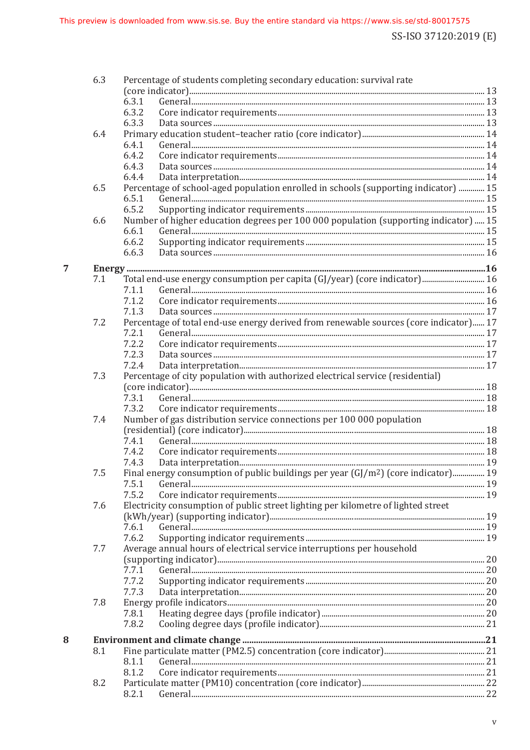| SS-ISO 37120:2019 (E) |  |  |  |  |  |
|-----------------------|--|--|--|--|--|
|-----------------------|--|--|--|--|--|

|   | 6.3 | Percentage of students completing secondary education: survival rate                                    |  |
|---|-----|---------------------------------------------------------------------------------------------------------|--|
|   |     | 6.3.1                                                                                                   |  |
|   |     | 6.3.2                                                                                                   |  |
|   |     | 6.3.3                                                                                                   |  |
|   | 6.4 |                                                                                                         |  |
|   |     | 6.4.1                                                                                                   |  |
|   |     | 6.4.2                                                                                                   |  |
|   |     | 6.4.3                                                                                                   |  |
|   |     | 6.4.4                                                                                                   |  |
|   | 6.5 | Percentage of school-aged population enrolled in schools (supporting indicator)  15                     |  |
|   |     | 6.5.1                                                                                                   |  |
|   |     | 6.5.2                                                                                                   |  |
|   | 6.6 | Number of higher education degrees per 100 000 population (supporting indicator)  15                    |  |
|   |     | 6.6.1                                                                                                   |  |
|   |     | 6.6.2                                                                                                   |  |
|   |     | 6.6.3                                                                                                   |  |
| 7 |     |                                                                                                         |  |
|   | 7.1 |                                                                                                         |  |
|   |     | 7.1.1                                                                                                   |  |
|   |     | 7.1.2                                                                                                   |  |
|   |     | 7.1.3                                                                                                   |  |
|   | 7.2 | Percentage of total end-use energy derived from renewable sources (core indicator) 17                   |  |
|   |     | 7.2.1                                                                                                   |  |
|   |     | 7.2.2                                                                                                   |  |
|   |     | 7.2.3                                                                                                   |  |
|   |     | 7.2.4                                                                                                   |  |
|   | 7.3 | Percentage of city population with authorized electrical service (residential)                          |  |
|   |     |                                                                                                         |  |
|   |     | 7.3.1                                                                                                   |  |
|   |     | 7.3.2                                                                                                   |  |
|   | 7.4 | Number of gas distribution service connections per 100 000 population                                   |  |
|   |     |                                                                                                         |  |
|   |     | 7.4.1                                                                                                   |  |
|   |     | 7.4.2                                                                                                   |  |
|   |     | 7.4.3                                                                                                   |  |
|   | 7.5 | Final energy consumption of public buildings per year (GJ/m <sup>2</sup> ) (core indicator) 19<br>7.5.1 |  |
|   |     | 7.5.2                                                                                                   |  |
|   | 7.6 | Electricity consumption of public street lighting per kilometre of lighted street                       |  |
|   |     |                                                                                                         |  |
|   |     | 7.6.1                                                                                                   |  |
|   |     | 7.6.2                                                                                                   |  |
|   | 7.7 | Average annual hours of electrical service interruptions per household                                  |  |
|   |     |                                                                                                         |  |
|   |     | 7.7.1                                                                                                   |  |
|   |     | 7.7.2                                                                                                   |  |
|   |     | 7.7.3                                                                                                   |  |
|   | 7.8 |                                                                                                         |  |
|   |     | 7.8.1                                                                                                   |  |
|   |     | 7.8.2                                                                                                   |  |
| 8 |     |                                                                                                         |  |
|   | 8.1 |                                                                                                         |  |
|   |     | 8.1.1                                                                                                   |  |
|   |     | 8.1.2                                                                                                   |  |
|   | 8.2 |                                                                                                         |  |
|   |     | 8.2.1                                                                                                   |  |
|   |     |                                                                                                         |  |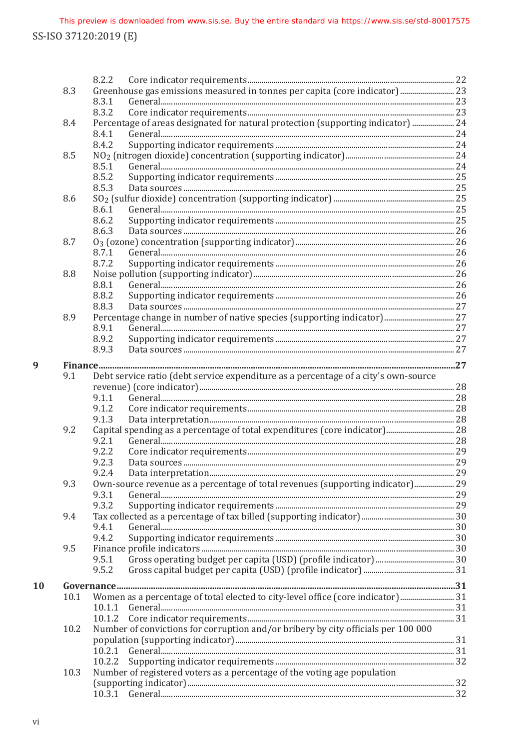|    |      | 8.2.2                                                                               |  |
|----|------|-------------------------------------------------------------------------------------|--|
|    | 8.3  | Greenhouse gas emissions measured in tonnes per capita (core indicator)  23         |  |
|    |      | 8.3.1                                                                               |  |
|    |      | 8.3.2                                                                               |  |
|    | 8.4  | Percentage of areas designated for natural protection (supporting indicator)  24    |  |
|    |      | 8.4.1                                                                               |  |
|    |      | 8.4.2                                                                               |  |
|    | 8.5  |                                                                                     |  |
|    |      | 8.5.1                                                                               |  |
|    |      | 8.5.2                                                                               |  |
|    |      | 8.5.3                                                                               |  |
|    |      |                                                                                     |  |
|    | 8.6  |                                                                                     |  |
|    |      | 8.6.1                                                                               |  |
|    |      | 8.6.2                                                                               |  |
|    |      | 8.6.3                                                                               |  |
|    | 8.7  |                                                                                     |  |
|    |      | 8.7.1                                                                               |  |
|    |      | 8.7.2                                                                               |  |
|    | 8.8  |                                                                                     |  |
|    |      | 8.8.1                                                                               |  |
|    |      | 8.8.2                                                                               |  |
|    |      | 8.8.3                                                                               |  |
|    | 8.9  |                                                                                     |  |
|    |      | 8.9.1                                                                               |  |
|    |      | 8.9.2                                                                               |  |
|    |      | 8.9.3                                                                               |  |
| 9  |      |                                                                                     |  |
|    |      |                                                                                     |  |
|    | 9.1  | Debt service ratio (debt service expenditure as a percentage of a city's own-source |  |
|    |      |                                                                                     |  |
|    |      | 9.1.1                                                                               |  |
|    |      | 9.1.2                                                                               |  |
|    |      | 9.1.3                                                                               |  |
|    | 9.2  |                                                                                     |  |
|    |      | 9.2.1                                                                               |  |
|    |      | 9.2.2                                                                               |  |
|    |      | 9.2.3                                                                               |  |
|    |      | 9.2.4                                                                               |  |
|    | 9.3  | Own-source revenue as a percentage of total revenues (supporting indicator) 29      |  |
|    |      | 9.3.1                                                                               |  |
|    |      | 9.3.2                                                                               |  |
|    | 9.4  |                                                                                     |  |
|    |      | 9.4.1                                                                               |  |
|    |      | 9.4.2                                                                               |  |
|    | 9.5  |                                                                                     |  |
|    |      | 9.5.1                                                                               |  |
|    |      | 9.5.2                                                                               |  |
|    |      |                                                                                     |  |
| 10 |      |                                                                                     |  |
|    | 10.1 | Women as a percentage of total elected to city-level office (core indicator) 31     |  |
|    |      | 10.1.1                                                                              |  |
|    |      | 10.1.2                                                                              |  |
|    | 10.2 | Number of convictions for corruption and/or bribery by city officials per 100 000   |  |
|    |      |                                                                                     |  |
|    |      | 10.2.1                                                                              |  |
|    |      | 10.2.2                                                                              |  |
|    | 10.3 | Number of registered voters as a percentage of the voting age population            |  |
|    |      |                                                                                     |  |
|    |      |                                                                                     |  |
|    |      |                                                                                     |  |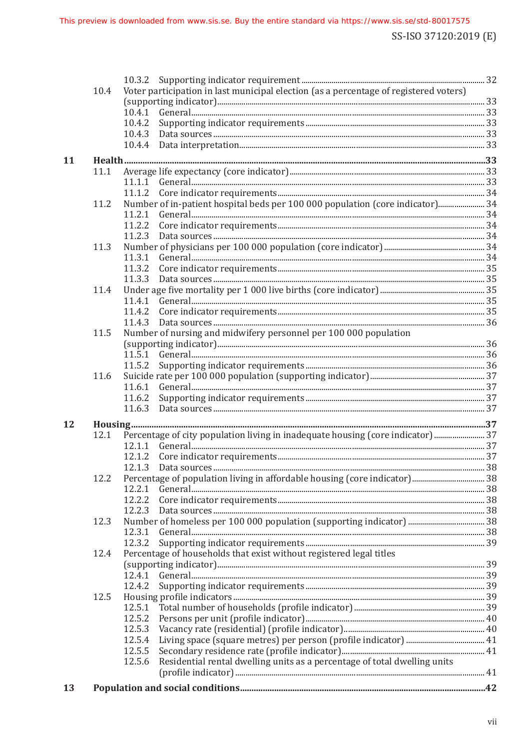SS-ISO 37120:2019 (E)

|    |      | 10.3.2                                                                                |  |
|----|------|---------------------------------------------------------------------------------------|--|
|    | 10.4 | Voter participation in last municipal election (as a percentage of registered voters) |  |
|    |      |                                                                                       |  |
|    |      | 10.4.1                                                                                |  |
|    |      | 10.4.2                                                                                |  |
|    |      | 10.4.3                                                                                |  |
|    |      |                                                                                       |  |
| 11 |      |                                                                                       |  |
|    | 11.1 |                                                                                       |  |
|    |      |                                                                                       |  |
|    |      | 11.1.2                                                                                |  |
|    | 11.2 | Number of in-patient hospital beds per 100 000 population (core indicator) 34         |  |
|    |      |                                                                                       |  |
|    |      | 11.2.2                                                                                |  |
|    |      | 11.2.3                                                                                |  |
|    | 11.3 |                                                                                       |  |
|    |      | 11.3.1                                                                                |  |
|    |      | 11.3.2                                                                                |  |
|    |      | 11.3.3                                                                                |  |
|    | 11.4 |                                                                                       |  |
|    |      |                                                                                       |  |
|    |      |                                                                                       |  |
|    |      | 11.4.3                                                                                |  |
|    | 11.5 | Number of nursing and midwifery personnel per 100 000 population                      |  |
|    |      |                                                                                       |  |
|    |      |                                                                                       |  |
|    |      | 11.5.2                                                                                |  |
|    | 11.6 |                                                                                       |  |
|    |      |                                                                                       |  |
|    |      | 11.6.2                                                                                |  |
|    |      | 11.6.3                                                                                |  |
|    |      |                                                                                       |  |
| 12 |      |                                                                                       |  |
|    | 12.1 | Percentage of city population living in inadequate housing (core indicator)  37       |  |
|    |      |                                                                                       |  |
|    |      | 12.1.2                                                                                |  |
|    |      | 12.1.3                                                                                |  |
|    | 12.2 |                                                                                       |  |
|    |      | 12.2.1                                                                                |  |
|    |      | 12.2.2                                                                                |  |
|    |      | 12.2.3                                                                                |  |
|    | 12.3 |                                                                                       |  |
|    |      | 12.3.1                                                                                |  |
|    |      | 12.3.2                                                                                |  |
|    | 12.4 | Percentage of households that exist without registered legal titles                   |  |
|    |      |                                                                                       |  |
|    |      | 12.4.1                                                                                |  |
|    |      | 12.4.2                                                                                |  |
|    | 12.5 |                                                                                       |  |
|    |      | 12.5.1                                                                                |  |
|    |      | 12.5.2                                                                                |  |
|    |      | 12.5.3                                                                                |  |
|    |      | 12.5.4                                                                                |  |
|    |      | 12.5.5                                                                                |  |
|    |      | Residential rental dwelling units as a percentage of total dwelling units<br>12.5.6   |  |
|    |      |                                                                                       |  |
| 13 |      |                                                                                       |  |
|    |      |                                                                                       |  |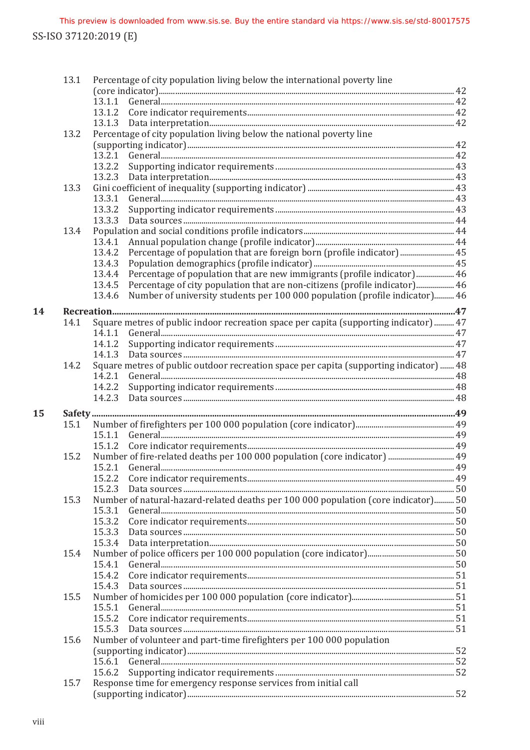|    | 13.1 | Percentage of city population living below the international poverty line              |  |  |  |  |
|----|------|----------------------------------------------------------------------------------------|--|--|--|--|
|    |      | 13.1.1                                                                                 |  |  |  |  |
|    |      |                                                                                        |  |  |  |  |
|    |      | 13.1.3                                                                                 |  |  |  |  |
|    | 13.2 | Percentage of city population living below the national poverty line                   |  |  |  |  |
|    |      |                                                                                        |  |  |  |  |
|    |      | 13.2.1                                                                                 |  |  |  |  |
|    |      | 13.2.2                                                                                 |  |  |  |  |
|    |      | 13.2.3                                                                                 |  |  |  |  |
|    | 13.3 |                                                                                        |  |  |  |  |
|    |      | 13.3.1                                                                                 |  |  |  |  |
|    |      | 13.3.2                                                                                 |  |  |  |  |
|    |      | 13.3.3                                                                                 |  |  |  |  |
|    | 13.4 |                                                                                        |  |  |  |  |
|    |      | 13.4.1                                                                                 |  |  |  |  |
|    |      | Percentage of population that are foreign born (profile indicator) 45<br>13.4.2        |  |  |  |  |
|    |      | 13.4.3                                                                                 |  |  |  |  |
|    |      | Percentage of population that are new immigrants (profile indicator) 46<br>13.4.4      |  |  |  |  |
|    |      | Percentage of city population that are non-citizens (profile indicator) 46<br>13.4.5   |  |  |  |  |
|    |      | Number of university students per 100 000 population (profile indicator) 46<br>13.4.6  |  |  |  |  |
|    |      |                                                                                        |  |  |  |  |
| 14 |      |                                                                                        |  |  |  |  |
|    | 14.1 | Square metres of public indoor recreation space per capita (supporting indicator)  47  |  |  |  |  |
|    |      |                                                                                        |  |  |  |  |
|    |      | 14.1.2                                                                                 |  |  |  |  |
|    |      | 14.1.3                                                                                 |  |  |  |  |
|    | 14.2 | Square metres of public outdoor recreation space per capita (supporting indicator)  48 |  |  |  |  |
|    |      | 14.2.1                                                                                 |  |  |  |  |
|    |      | 14.2.2                                                                                 |  |  |  |  |
|    |      | 14.2.3                                                                                 |  |  |  |  |
| 15 |      |                                                                                        |  |  |  |  |
|    | 15.1 |                                                                                        |  |  |  |  |
|    |      |                                                                                        |  |  |  |  |
|    |      | 15.1.2                                                                                 |  |  |  |  |
|    | 15.2 |                                                                                        |  |  |  |  |
|    |      |                                                                                        |  |  |  |  |
|    |      | 15.2.2                                                                                 |  |  |  |  |
|    |      | 15.2.3                                                                                 |  |  |  |  |
|    | 15.3 | Number of natural-hazard-related deaths per 100 000 population (core indicator) 50     |  |  |  |  |
|    |      | 15.3.1                                                                                 |  |  |  |  |
|    |      | 15.3.2                                                                                 |  |  |  |  |
|    |      | 15.3.3                                                                                 |  |  |  |  |
|    |      | 15.3.4                                                                                 |  |  |  |  |
|    | 15.4 |                                                                                        |  |  |  |  |
|    |      | 15.4.1                                                                                 |  |  |  |  |
|    |      | 15.4.2                                                                                 |  |  |  |  |
|    |      | 15.4.3                                                                                 |  |  |  |  |
|    | 15.5 |                                                                                        |  |  |  |  |
|    |      | 15.5.1                                                                                 |  |  |  |  |
|    |      | 15.5.2                                                                                 |  |  |  |  |
|    |      | 15.5.3                                                                                 |  |  |  |  |
|    | 15.6 | Number of volunteer and part-time firefighters per 100 000 population                  |  |  |  |  |
|    |      |                                                                                        |  |  |  |  |
|    |      |                                                                                        |  |  |  |  |
|    |      | 15.6.1                                                                                 |  |  |  |  |
|    |      | 15.6.2                                                                                 |  |  |  |  |
|    | 15.7 | Response time for emergency response services from initial call                        |  |  |  |  |
|    |      |                                                                                        |  |  |  |  |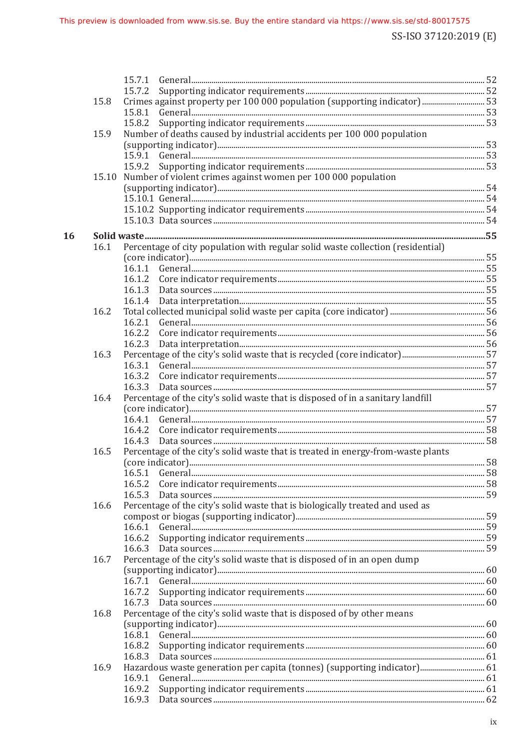|           |       | 15.7.2                                                                             |  |
|-----------|-------|------------------------------------------------------------------------------------|--|
|           | 15.8  |                                                                                    |  |
|           |       | 15.8.1                                                                             |  |
|           |       | 15.8.2                                                                             |  |
|           | 15.9  | Number of deaths caused by industrial accidents per 100 000 population             |  |
|           |       |                                                                                    |  |
|           |       | 15.9.1                                                                             |  |
|           |       | 15.9.2                                                                             |  |
|           | 15.10 | Number of violent crimes against women per 100 000 population                      |  |
|           |       |                                                                                    |  |
|           |       |                                                                                    |  |
|           |       |                                                                                    |  |
|           |       |                                                                                    |  |
| <b>16</b> |       |                                                                                    |  |
|           | 16.1  | Percentage of city population with regular solid waste collection (residential)    |  |
|           |       |                                                                                    |  |
|           |       | 16.1.1                                                                             |  |
|           |       | 16.1.2                                                                             |  |
|           |       | 16.1.3                                                                             |  |
|           |       | 16.1.4                                                                             |  |
|           | 16.2  |                                                                                    |  |
|           |       |                                                                                    |  |
|           |       | 16.2.2                                                                             |  |
|           |       | 16.2.3                                                                             |  |
|           | 16.3  |                                                                                    |  |
|           |       |                                                                                    |  |
|           |       | 16.3.2                                                                             |  |
|           |       | 16.3.3                                                                             |  |
|           | 16.4  | Percentage of the city's solid waste that is disposed of in a sanitary landfill    |  |
|           |       |                                                                                    |  |
|           |       |                                                                                    |  |
|           |       |                                                                                    |  |
|           |       | 16.4.3                                                                             |  |
|           | 16.5  | Percentage of the city's solid waste that is treated in energy-from-waste plants   |  |
|           |       |                                                                                    |  |
|           |       |                                                                                    |  |
|           |       | 16.5.2                                                                             |  |
|           |       | 16.5.3                                                                             |  |
|           | 16.6  | Percentage of the city's solid waste that is biologically treated and used as      |  |
|           |       |                                                                                    |  |
|           |       | 16.6.1                                                                             |  |
|           |       | 16.6.2                                                                             |  |
|           |       | 16.6.3                                                                             |  |
|           | 16.7  | Percentage of the city's solid waste that is disposed of in an open dump           |  |
|           |       |                                                                                    |  |
|           |       | 16.7.1                                                                             |  |
|           |       | 16.7.2                                                                             |  |
|           |       | 16.7.3                                                                             |  |
|           | 16.8  | Percentage of the city's solid waste that is disposed of by other means            |  |
|           |       |                                                                                    |  |
|           |       | 16.8.1                                                                             |  |
|           |       | 16.8.2                                                                             |  |
|           | 16.9  | 16.8.3<br>Hazardous waste generation per capita (tonnes) (supporting indicator) 61 |  |
|           |       | 16.9.1                                                                             |  |
|           |       | 16.9.2                                                                             |  |
|           |       | 16.9.3                                                                             |  |
|           |       |                                                                                    |  |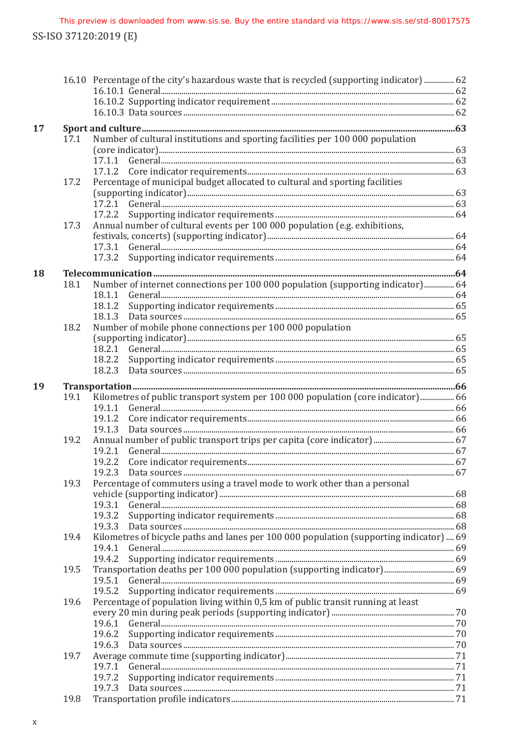|    |      | 16.10 Percentage of the city's hazardous waste that is recycled (supporting indicator)  62 |  |
|----|------|--------------------------------------------------------------------------------------------|--|
|    |      |                                                                                            |  |
|    |      |                                                                                            |  |
|    |      |                                                                                            |  |
| 17 |      |                                                                                            |  |
|    | 17.1 | Number of cultural institutions and sporting facilities per 100 000 population             |  |
|    |      |                                                                                            |  |
|    |      |                                                                                            |  |
|    | 17.2 | Percentage of municipal budget allocated to cultural and sporting facilities               |  |
|    |      |                                                                                            |  |
|    |      |                                                                                            |  |
|    |      |                                                                                            |  |
|    | 17.3 | Annual number of cultural events per 100 000 population (e.g. exhibitions,                 |  |
|    |      |                                                                                            |  |
|    |      |                                                                                            |  |
|    |      | 17.3.2                                                                                     |  |
|    |      |                                                                                            |  |
| 18 | 18.1 | Number of internet connections per 100 000 population (supporting indicator) 64            |  |
|    |      |                                                                                            |  |
|    |      | 18.1.2                                                                                     |  |
|    |      | 18.1.3                                                                                     |  |
|    | 18.2 | Number of mobile phone connections per 100 000 population                                  |  |
|    |      |                                                                                            |  |
|    |      |                                                                                            |  |
|    |      | 18.2.2                                                                                     |  |
|    |      | 18.2.3                                                                                     |  |
|    |      |                                                                                            |  |
| 19 |      |                                                                                            |  |
|    | 19.1 | Kilometres of public transport system per 100 000 population (core indicator) 66           |  |
|    |      |                                                                                            |  |
|    |      | 19.1.3                                                                                     |  |
|    | 19.2 |                                                                                            |  |
|    |      |                                                                                            |  |
|    |      | 19.2.2                                                                                     |  |
|    |      |                                                                                            |  |
|    | 19.3 | Percentage of commuters using a travel mode to work other than a personal                  |  |
|    |      |                                                                                            |  |
|    |      | 19.3.1                                                                                     |  |
|    |      | 19.3.2                                                                                     |  |
|    |      | 19.3.3                                                                                     |  |
|    | 19.4 | Kilometres of bicycle paths and lanes per 100 000 population (supporting indicator)  69    |  |
|    |      | 19.4.1                                                                                     |  |
|    |      | 19.4.2                                                                                     |  |
|    | 19.5 |                                                                                            |  |
|    |      | 19.5.1                                                                                     |  |
|    |      | 19.5.2                                                                                     |  |
|    | 19.6 | Percentage of population living within 0,5 km of public transit running at least           |  |
|    |      |                                                                                            |  |
|    |      | 19.6.1                                                                                     |  |
|    |      | 19.6.2                                                                                     |  |
|    |      | 19.6.3                                                                                     |  |
|    | 19.7 |                                                                                            |  |
|    |      | 19.7.1                                                                                     |  |
|    |      | 19.7.2                                                                                     |  |
|    |      | 19.7.3                                                                                     |  |
|    | 19.8 |                                                                                            |  |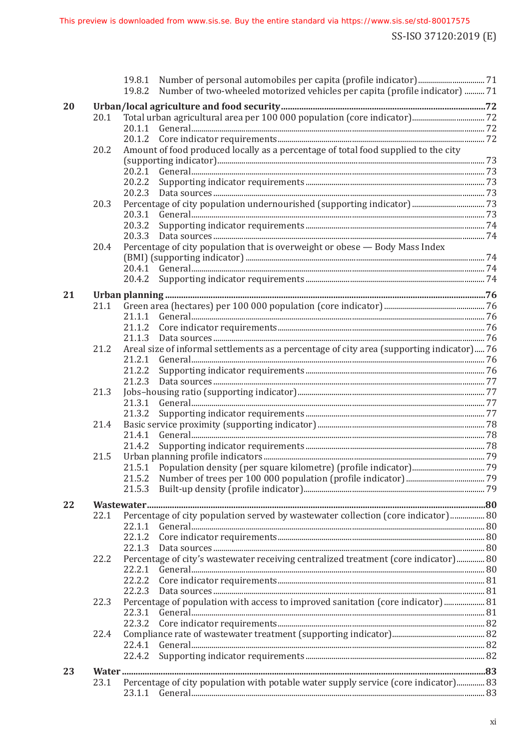|    |      | 19.8.1<br>19.8.2 | Number of two-wheeled motorized vehicles per capita (profile indicator)  71               |  |
|----|------|------------------|-------------------------------------------------------------------------------------------|--|
| 20 |      |                  |                                                                                           |  |
|    | 20.1 |                  |                                                                                           |  |
|    |      |                  |                                                                                           |  |
|    |      | 20.1.2           |                                                                                           |  |
|    | 20.2 |                  | Amount of food produced locally as a percentage of total food supplied to the city        |  |
|    |      |                  |                                                                                           |  |
|    |      | 20.2.1           |                                                                                           |  |
|    |      | 20.2.2           |                                                                                           |  |
|    |      | 20.2.3           |                                                                                           |  |
|    | 20.3 |                  |                                                                                           |  |
|    |      | 20.3.1<br>20.3.2 |                                                                                           |  |
|    |      | 20.3.3           |                                                                                           |  |
|    | 20.4 |                  | Percentage of city population that is overweight or obese - Body Mass Index               |  |
|    |      |                  |                                                                                           |  |
|    |      | 20.4.1           |                                                                                           |  |
|    |      | 20.4.2           |                                                                                           |  |
|    |      |                  |                                                                                           |  |
| 21 |      |                  |                                                                                           |  |
|    | 21.1 | 21.1.1           |                                                                                           |  |
|    |      | 21.1.2           |                                                                                           |  |
|    |      | 21.1.3           |                                                                                           |  |
|    | 21.2 |                  | Areal size of informal settlements as a percentage of city area (supporting indicator) 76 |  |
|    |      | 21.2.1           |                                                                                           |  |
|    |      | 21.2.2           |                                                                                           |  |
|    |      | 21.2.3           |                                                                                           |  |
|    | 21.3 |                  |                                                                                           |  |
|    |      | 21.3.1           |                                                                                           |  |
|    |      | 21.3.2           |                                                                                           |  |
|    | 21.4 |                  |                                                                                           |  |
|    |      | 21.4.1           |                                                                                           |  |
|    |      | 21.4.2           |                                                                                           |  |
|    | 21.5 |                  |                                                                                           |  |
|    |      |                  |                                                                                           |  |
|    |      | 21.5.2<br>21.5.3 |                                                                                           |  |
|    |      |                  |                                                                                           |  |
| 22 |      |                  |                                                                                           |  |
|    | 22.1 |                  | Percentage of city population served by wastewater collection (core indicator) 80         |  |
|    |      | 22.1.1           |                                                                                           |  |
|    |      | 22.1.2<br>22.1.3 |                                                                                           |  |
|    | 22.2 |                  | Percentage of city's wastewater receiving centralized treatment (core indicator) 80       |  |
|    |      | 22.2.1           |                                                                                           |  |
|    |      | 22.2.2           |                                                                                           |  |
|    |      | 22.2.3           |                                                                                           |  |
|    | 22.3 |                  | Percentage of population with access to improved sanitation (core indicator)  81          |  |
|    |      | 22.3.1           |                                                                                           |  |
|    |      | 22.3.2           |                                                                                           |  |
|    | 22.4 |                  |                                                                                           |  |
|    |      | 22.4.1           |                                                                                           |  |
|    |      | 22.4.2           |                                                                                           |  |
| 23 |      |                  |                                                                                           |  |
|    | 23.1 |                  | Percentage of city population with potable water supply service (core indicator) 83       |  |
|    |      |                  |                                                                                           |  |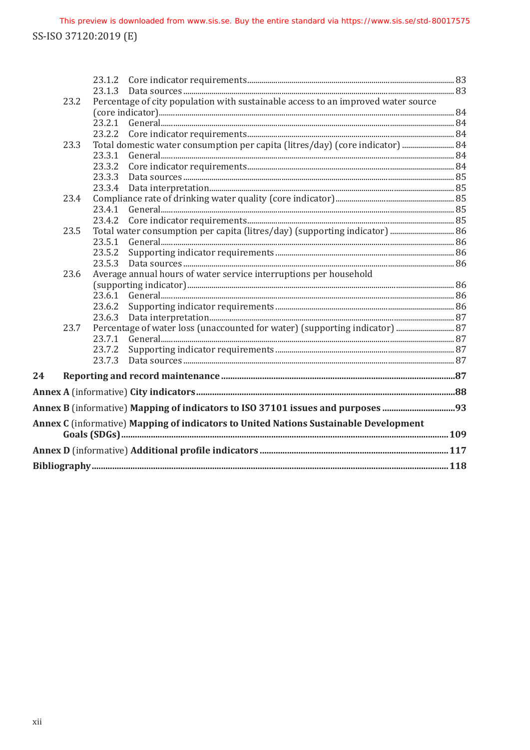This preview is downloaded from www.sis.se. Buy the entire standard via https://www.sis.se/std-80017575 SS-ISO 37120:2019 (E)

|    |                                                                                           | 23.1.3           |                                                                                       |  |
|----|-------------------------------------------------------------------------------------------|------------------|---------------------------------------------------------------------------------------|--|
|    | Percentage of city population with sustainable access to an improved water source<br>23.2 |                  |                                                                                       |  |
|    |                                                                                           |                  |                                                                                       |  |
|    |                                                                                           |                  |                                                                                       |  |
|    |                                                                                           | 23.2.2           |                                                                                       |  |
|    | 23.3                                                                                      |                  | Total domestic water consumption per capita (litres/day) (core indicator)  84         |  |
|    |                                                                                           | 23.3.1           |                                                                                       |  |
|    |                                                                                           | 23.3.2           |                                                                                       |  |
|    |                                                                                           | 23.3.3           |                                                                                       |  |
|    |                                                                                           | 23.3.4           |                                                                                       |  |
|    | 23.4                                                                                      | 23.4.1           |                                                                                       |  |
|    |                                                                                           | 23.4.2           |                                                                                       |  |
|    | 23.5                                                                                      |                  | Total water consumption per capita (litres/day) (supporting indicator)  86            |  |
|    |                                                                                           | 23.5.1           |                                                                                       |  |
|    |                                                                                           | 23.5.2           |                                                                                       |  |
|    |                                                                                           | 23.5.3           |                                                                                       |  |
|    | 23.6                                                                                      |                  | Average annual hours of water service interruptions per household                     |  |
|    |                                                                                           |                  |                                                                                       |  |
|    |                                                                                           | 23.6.1           |                                                                                       |  |
|    |                                                                                           | 23.6.2           |                                                                                       |  |
|    |                                                                                           | 23.6.3           |                                                                                       |  |
|    | 23.7                                                                                      |                  | Percentage of water loss (unaccounted for water) (supporting indicator)  87           |  |
|    |                                                                                           |                  |                                                                                       |  |
|    |                                                                                           | 23.7.2<br>23.7.3 |                                                                                       |  |
| 24 |                                                                                           |                  |                                                                                       |  |
|    |                                                                                           |                  |                                                                                       |  |
|    |                                                                                           |                  |                                                                                       |  |
|    |                                                                                           |                  | Annex B (informative) Mapping of indicators to ISO 37101 issues and purposes 93       |  |
|    |                                                                                           |                  | Annex C (informative) Mapping of indicators to United Nations Sustainable Development |  |
|    |                                                                                           |                  |                                                                                       |  |
|    |                                                                                           |                  |                                                                                       |  |
|    |                                                                                           |                  |                                                                                       |  |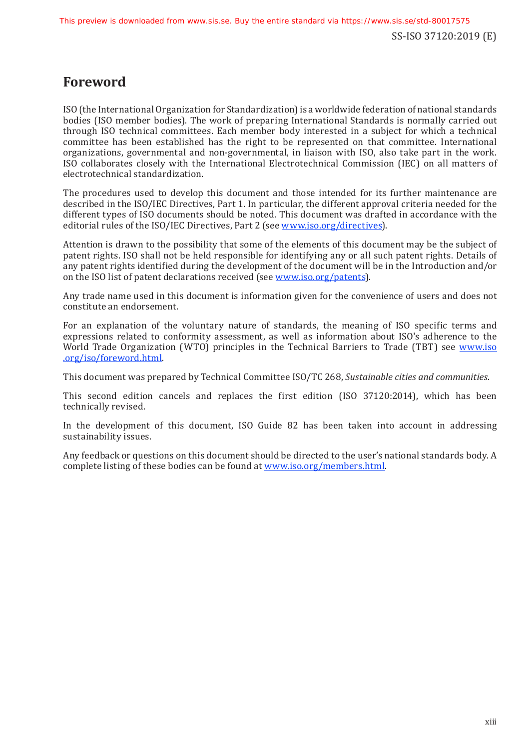### **Foreword**

ISO (the International Organization for Standardization) is a worldwide federation of national standards bodies (ISO member bodies). The work of preparing International Standards is normally carried out through ISO technical committees. Each member body interested in a subject for which a technical committee has been established has the right to be represented on that committee. International organizations, governmental and non-governmental, in liaison with ISO, also take part in the work. ISO collaborates closely with the International Electrotechnical Commission (IEC) on all matters of electrotechnical standardization.

The procedures used to develop this document and those intended for its further maintenance are described in the ISO/IEC Directives, Part 1. In particular, the different approval criteria needed for the different types of ISO documents should be noted. This document was drafted in accordance with the editorial rules of the ISO/IEC Directives, Part 2 (see [www.iso.org/directives\)](https://www.iso.org/directives-and-policies.html).

Attention is drawn to the possibility that some of the elements of this document may be the subject of patent rights. ISO shall not be held responsible for identifying any or all such patent rights. Details of any patent rights identified during the development of the document will be in the Introduction and/or on the ISO list of patent declarations received (see [www.iso.org/patents](https://www.iso.org/iso-standards-and-patents.html)).

Any trade name used in this document is information given for the convenience of users and does not constitute an endorsement.

For an explanation of the voluntary nature of standards, the meaning of ISO specific terms and expressions related to conformity assessment, as well as information about ISO's adherence to the World Trade Organization (WTO) principles in the Technical Barriers to Trade (TBT) see [www.iso](https://www.iso.org/foreword-supplementary-information.html) [.org/iso/foreword.html](https://www.iso.org/foreword-supplementary-information.html).

This document was prepared by Technical Committee ISO/TC 268, *Sustainable cities and communities*.

This second edition cancels and replaces the first edition (ISO 37120:2014), which has been technically revised.

In the development of this document, ISO Guide 82 has been taken into account in addressing sustainability issues.

Any feedback or questions on this document should be directed to the user's national standards body. A complete listing of these bodies can be found at [www.iso.org/members.html.](https://www.iso.org/members.html)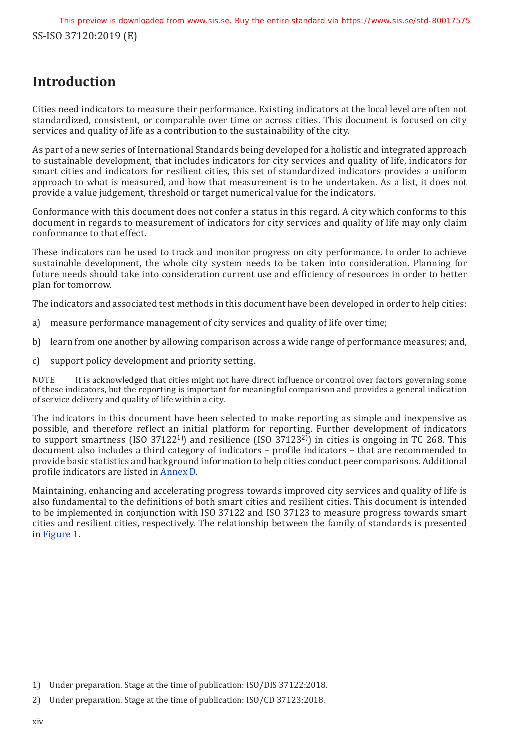## **Introduction**

Cities need indicators to measure their performance. Existing indicators at the local level are often not standardized, consistent, or comparable over time or across cities. This document is focused on city services and quality of life as a contribution to the sustainability of the city.

As part of a new series of International Standards being developed for a holistic and integrated approach to sustainable development, that includes indicators for city services and quality of life, indicators for smart cities and indicators for resilient cities, this set of standardized indicators provides a uniform approach to what is measured, and how that measurement is to be undertaken. As a list, it does not provide a value judgement, threshold or target numerical value for the indicators.

Conformance with this document does not confer a status in this regard. A city which conforms to this document in regards to measurement of indicators for city services and quality of life may only claim conformance to that effect.

These indicators can be used to track and monitor progress on city performance. In order to achieve sustainable development, the whole city system needs to be taken into consideration. Planning for future needs should take into consideration current use and efficiency of resources in order to better plan for tomorrow.

The indicators and associated test methods in this document have been developed in order to help cities:

- a) measure performance management of city services and quality of life over time;
- b) learn from one another by allowing comparison across a wide range of performance measures; and,
- c) support policy development and priority setting.

NOTE It is acknowledged that cities might not have direct influence or control over factors governing some of these indicators, but the reporting is important for meaningful comparison and provides a general indication of service delivery and quality of life within a city.

The indicators in this document have been selected to make reporting as simple and inexpensive as possible, and therefore reflect an initial platform for reporting. Further development of indicators to support smartness (ISO 371221)) and resilience (ISO 371232)) in cities is ongoing in TC 268. This document also includes a third category of indicators – profile indicators – that are recommended to provide basic statistics and background information to help cities conduct peer comparisons. Additional profile indicators are listed in Annex D.

Maintaining, enhancing and accelerating progress towards improved city services and quality of life is also fundamental to the definitions of both smart cities and resilient cities. This document is intended to be implemented in conjunction with ISO 37122 and ISO 37123 to measure progress towards smart cities and resilient cities, respectively. The relationship between the family of standards is presented in Figure 1.

<sup>1)</sup> Under preparation. Stage at the time of publication: ISO/DIS 37122:2018.

<sup>2)</sup> Under preparation. Stage at the time of publication: ISO/CD 37123:2018.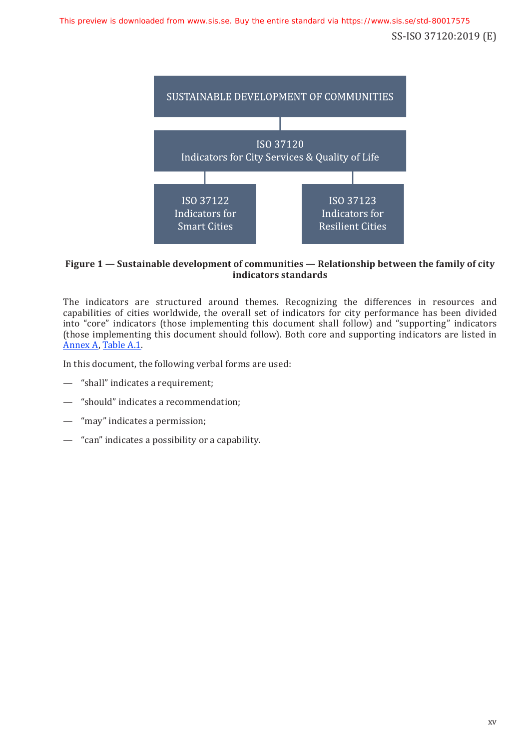

#### **Figure 1 — Sustainable development of communities — Relationship between the family of city indicators standards**

The indicators are structured around themes. Recognizing the differences in resources and capabilities of cities worldwide, the overall set of indicators for city performance has been divided into "core" indicators (those implementing this document shall follow) and "supporting" indicators (those implementing this document should follow). Both core and supporting indicators are listed in Annex A, Table A.1.

In this document, the following verbal forms are used:

- "shall" indicates a requirement;
- "should" indicates a recommendation;
- "may" indicates a permission;
- "can" indicates a possibility or a capability.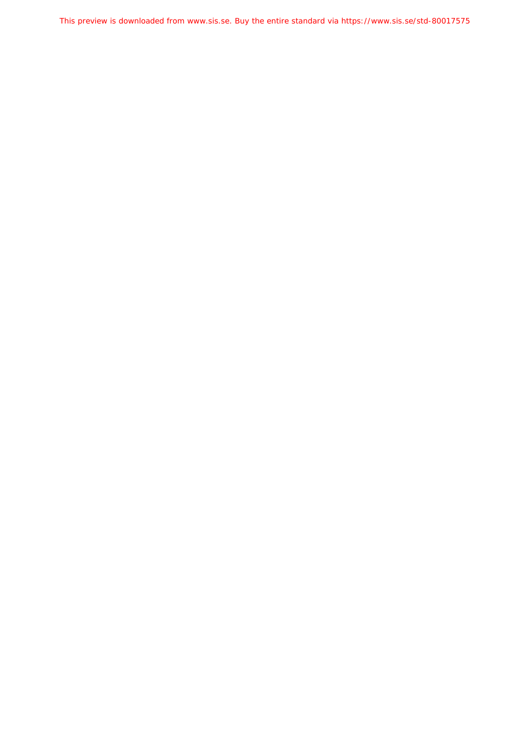This preview is downloaded from www.sis.se. Buy the entire standard via https://www.sis.se/std-80017575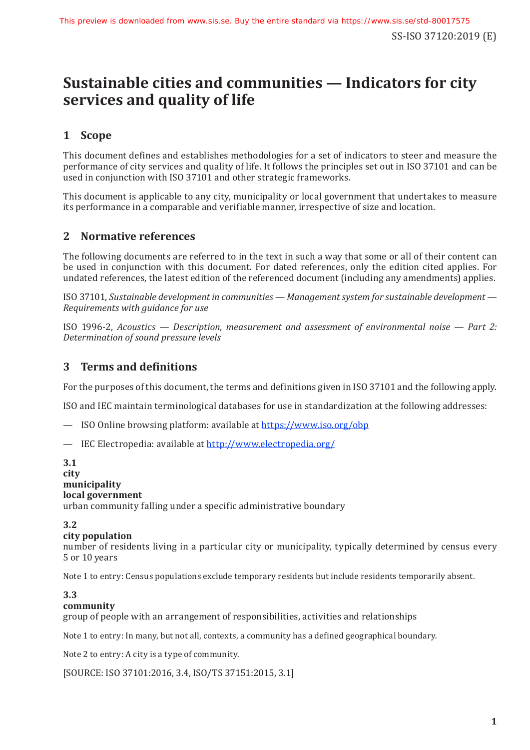# **Sustainable cities and communities — Indicators for city services and quality of life**

### **1 Scope**

This document defines and establishes methodologies for a set of indicators to steer and measure the performance of city services and quality of life. It follows the principles set out in ISO 37101 and can be used in conjunction with ISO 37101 and other strategic frameworks.

This document is applicable to any city, municipality or local government that undertakes to measure its performance in a comparable and verifiable manner, irrespective of size and location.

### **2 Normative references**

The following documents are referred to in the text in such a way that some or all of their content can be used in conjunction with this document. For dated references, only the edition cited applies. For undated references, the latest edition of the referenced document (including any amendments) applies.

ISO 37101, *Sustainable development in communities — Management system for sustainable development — Requirements with guidance for use*

ISO 1996-2, *Acoustics — Description, measurement and assessment of environmental noise — Part 2: Determination of sound pressure levels*

### **3 Terms and definitions**

For the purposes of this document, the terms and definitions given in ISO 37101 and the following apply.

ISO and IEC maintain terminological databases for use in standardization at the following addresses:

- ISO Online browsing platform: available at <https://www.iso.org/obp>
- IEC Electropedia: available at<http://www.electropedia.org/>

**3.1 city municipality local government** urban community falling under a specific administrative boundary

#### **3.2**

#### **city population**

number of residents living in a particular city or municipality, typically determined by census every 5 or 10 years

Note 1 to entry: Census populations exclude temporary residents but include residents temporarily absent.

#### **3.3**

#### **community**

group of people with an arrangement of responsibilities, activities and relationships

Note 1 to entry: In many, but not all, contexts, a community has a defined geographical boundary.

Note 2 to entry: A city is a type of community.

[SOURCE: ISO 37101:2016, 3.4, ISO/TS 37151:2015, 3.1]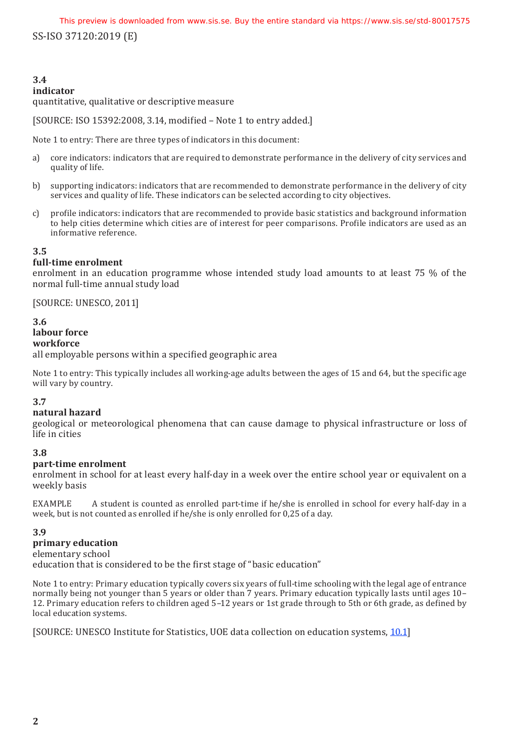SS-ISO 37120:2019 (E) This preview is downloaded from www.sis.se. Buy the entire standard via https://www.sis.se/std-80017575

#### **3.4 indicator**

quantitative, qualitative or descriptive measure

[SOURCE: ISO 15392:2008, 3.14, modified – Note 1 to entry added.]

Note 1 to entry: There are three types of indicators in this document:

- a) core indicators: indicators that are required to demonstrate performance in the delivery of city services and quality of life.
- b) supporting indicators: indicators that are recommended to demonstrate performance in the delivery of city services and quality of life. These indicators can be selected according to city objectives.
- c) profile indicators: indicators that are recommended to provide basic statistics and background information to help cities determine which cities are of interest for peer comparisons. Profile indicators are used as an informative reference.

#### **3.5**

#### **full-time enrolment**

enrolment in an education programme whose intended study load amounts to at least 75 % of the normal full-time annual study load

[SOURCE: UNESCO, 2011]

#### **3.6**

#### **labour force**

#### **workforce**

all employable persons within a specified geographic area

Note 1 to entry: This typically includes all working-age adults between the ages of 15 and 64, but the specific age will vary by country.

#### **3.7**

#### **natural hazard**

geological or meteorological phenomena that can cause damage to physical infrastructure or loss of life in cities

#### **3.8**

#### **part-time enrolment**

enrolment in school for at least every half-day in a week over the entire school year or equivalent on a weekly basis

EXAMPLE A student is counted as enrolled part-time if he/she is enrolled in school for every half-day in a week, but is not counted as enrolled if he/she is only enrolled for 0,25 of a day.

#### **3.9**

#### **primary education**

elementary school education that is considered to be the first stage of "basic education"

Note 1 to entry: Primary education typically covers six years of full-time schooling with the legal age of entrance normally being not younger than 5 years or older than 7 years. Primary education typically lasts until ages 10– 12. Primary education refers to children aged 5–12 years or 1st grade through to 5th or 6th grade, as defined by local education systems.

[SOURCE: UNESCO Institute for Statistics, UOE data collection on education systems, 10.1]